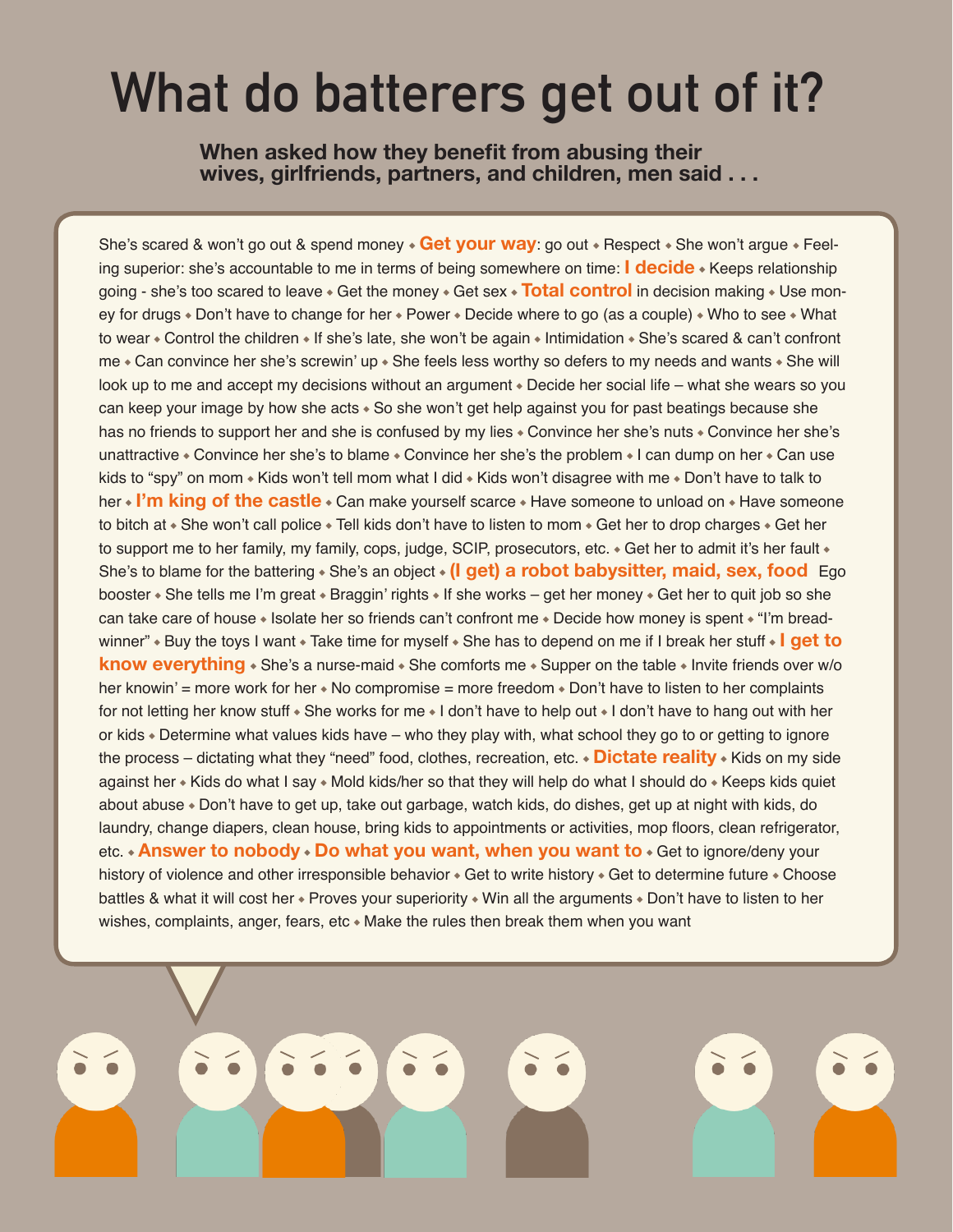## **What do batterers get out of it?**

**When asked how they benefit from abusing their wives, girlfriends, partners, and children, men said . . .** 

She's scared & won't go out & spend money ◆ **Get your way**: go out ◆ Respect ◆ She won't argue ◆ Feeling superior: she's accountable to me in terms of being somewhere on time: **I decide** ◆ Keeps relationship going - she's too scared to leave ◆ Get the money ◆ Get sex ◆ **Total control** in decision making ◆ Use money for drugs ◆ Don't have to change for her ◆ Power ◆ Decide where to go (as a couple) ◆ Who to see ◆ What to wear ◆ Control the children ◆ If she's late, she won't be again ◆ Intimidation ◆ She's scared & can't confront me ◆ Can convince her she's screwin' up ◆ She feels less worthy so defers to my needs and wants ◆ She will look up to me and accept my decisions without an argument ◆ Decide her social life – what she wears so you can keep your image by how she acts ◆ So she won't get help against you for past beatings because she has no friends to support her and she is confused by my lies ◆ Convince her she's nuts ◆ Convince her she's unattractive ◆ Convince her she's to blame ◆ Convince her she's the problem ◆ I can dump on her ◆ Can use kids to "spy" on mom ◆ Kids won't tell mom what I did ◆ Kids won't disagree with me ◆ Don't have to talk to her ◆ **I'm king of the castle** ◆ Can make yourself scarce ◆ Have someone to unload on ◆ Have someone to bitch at ◆ She won't call police ◆ Tell kids don't have to listen to mom ◆ Get her to drop charges ◆ Get her to support me to her family, my family, cops, judge, SCIP, prosecutors, etc. ◆ Get her to admit it's her fault ◆ She's to blame for the battering ◆ She's an object ◆ **(I get) a robot babysitter, maid, sex, food** Ego booster ◆ She tells me I'm great ◆ Braggin' rights ◆ If she works – get her money ◆ Get her to quit job so she can take care of house ◆ Isolate her so friends can't confront me ◆ Decide how money is spent ◆ "I'm breadwinner" ◆ Buy the toys I want ◆ Take time for myself ◆ She has to depend on me if I break her stuff ◆ **I get to know everything** ◆ She's a nurse-maid ◆ She comforts me ◆ Supper on the table ◆ Invite friends over w/o her knowin' = more work for her ◆ No compromise = more freedom ◆ Don't have to listen to her complaints for not letting her know stuff ◆ She works for me ◆ I don't have to help out ◆ I don't have to hang out with her or kids ◆ Determine what values kids have – who they play with, what school they go to or getting to ignore the process – dictating what they "need" food, clothes, recreation, etc. ◆ **Dictate reality** ◆ Kids on my side against her ◆ Kids do what I say ◆ Mold kids/her so that they will help do what I should do ◆ Keeps kids quiet about abuse ◆ Don't have to get up, take out garbage, watch kids, do dishes, get up at night with kids, do laundry, change diapers, clean house, bring kids to appointments or activities, mop floors, clean refrigerator, etc. ◆ **Answer to nobody** ◆ **Do what you want, when you want to** ◆ Get to ignore/deny your history of violence and other irresponsible behavior ◆ Get to write history ◆ Get to determine future ◆ Choose battles & what it will cost her • Proves your superiority • Win all the arguments • Don't have to listen to her wishes, complaints, anger, fears, etc ∗ Make the rules then break them when you want